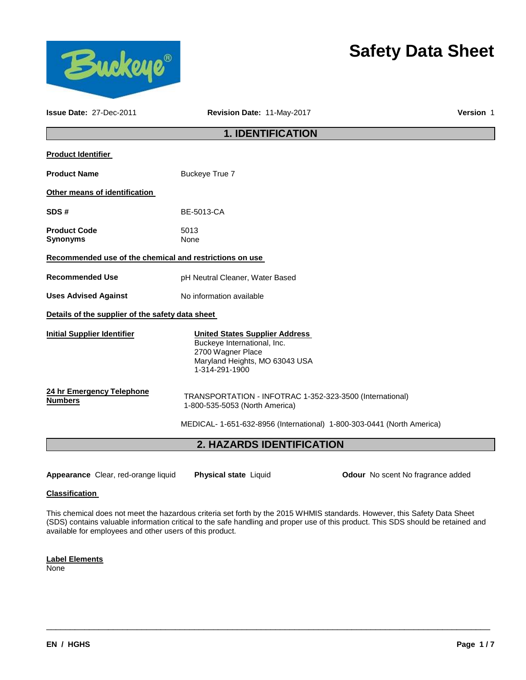

# **Safety Data Sheet**

| <b>Issue Date: 27-Dec-2011</b>                          | Revision Date: 11-May-2017                                                                                                                    | Version 1 |  |  |
|---------------------------------------------------------|-----------------------------------------------------------------------------------------------------------------------------------------------|-----------|--|--|
| <b>1. IDENTIFICATION</b>                                |                                                                                                                                               |           |  |  |
| <b>Product Identifier</b>                               |                                                                                                                                               |           |  |  |
| <b>Product Name</b>                                     | Buckeye True 7                                                                                                                                |           |  |  |
| Other means of identification                           |                                                                                                                                               |           |  |  |
| SDS#                                                    | <b>BE-5013-CA</b>                                                                                                                             |           |  |  |
| <b>Product Code</b><br><b>Synonyms</b>                  | 5013<br>None                                                                                                                                  |           |  |  |
| Recommended use of the chemical and restrictions on use |                                                                                                                                               |           |  |  |
| <b>Recommended Use</b>                                  | pH Neutral Cleaner, Water Based                                                                                                               |           |  |  |
| <b>Uses Advised Against</b>                             | No information available                                                                                                                      |           |  |  |
| Details of the supplier of the safety data sheet        |                                                                                                                                               |           |  |  |
| <b>Initial Supplier Identifier</b>                      | <b>United States Supplier Address</b><br>Buckeye International, Inc.<br>2700 Wagner Place<br>Maryland Heights, MO 63043 USA<br>1-314-291-1900 |           |  |  |
| 24 hr Emergency Telephone<br><b>Numbers</b>             | TRANSPORTATION - INFOTRAC 1-352-323-3500 (International)<br>1-800-535-5053 (North America)                                                    |           |  |  |
|                                                         | MEDICAL- 1-651-632-8956 (International) 1-800-303-0441 (North America)                                                                        |           |  |  |
|                                                         | 2. HAZARDS IDENTIFICATION                                                                                                                     |           |  |  |

**Appearance** Clear, red-orange liquid **Physical state** Liquid **Odour** No scent No fragrance added

### **Classification**

This chemical does not meet the hazardous criteria set forth by the 2015 WHMIS standards. However, this Safety Data Sheet (SDS) contains valuable information critical to the safe handling and proper use of this product. This SDS should be retained and available for employees and other users of this product.

\_\_\_\_\_\_\_\_\_\_\_\_\_\_\_\_\_\_\_\_\_\_\_\_\_\_\_\_\_\_\_\_\_\_\_\_\_\_\_\_\_\_\_\_\_\_\_\_\_\_\_\_\_\_\_\_\_\_\_\_\_\_\_\_\_\_\_\_\_\_\_\_\_\_\_\_\_\_\_\_\_\_\_\_\_\_\_\_\_\_\_\_\_

**Label Elements**

None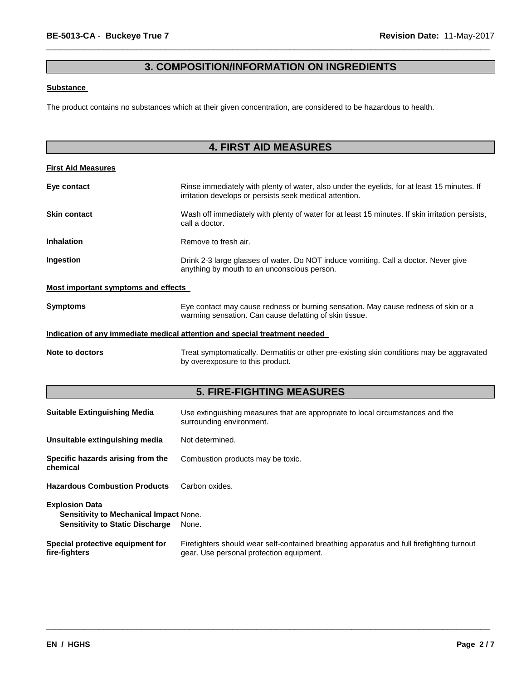# **3. COMPOSITION/INFORMATION ON INGREDIENTS**

\_\_\_\_\_\_\_\_\_\_\_\_\_\_\_\_\_\_\_\_\_\_\_\_\_\_\_\_\_\_\_\_\_\_\_\_\_\_\_\_\_\_\_\_\_\_\_\_\_\_\_\_\_\_\_\_\_\_\_\_\_\_\_\_\_\_\_\_\_\_\_\_\_\_\_\_\_\_\_\_\_\_\_\_\_\_\_\_\_\_\_\_\_

### **Substance**

The product contains no substances which at their given concentration, are considered to be hazardous to health.

| <b>4. FIRST AID MEASURES</b>                                                                                     |                                                                                                                                                        |  |  |
|------------------------------------------------------------------------------------------------------------------|--------------------------------------------------------------------------------------------------------------------------------------------------------|--|--|
|                                                                                                                  |                                                                                                                                                        |  |  |
| <b>First Aid Measures</b>                                                                                        |                                                                                                                                                        |  |  |
| Eye contact                                                                                                      | Rinse immediately with plenty of water, also under the eyelids, for at least 15 minutes. If<br>irritation develops or persists seek medical attention. |  |  |
| <b>Skin contact</b>                                                                                              | Wash off immediately with plenty of water for at least 15 minutes. If skin irritation persists,<br>call a doctor.                                      |  |  |
| <b>Inhalation</b>                                                                                                | Remove to fresh air.                                                                                                                                   |  |  |
| Ingestion                                                                                                        | Drink 2-3 large glasses of water. Do NOT induce vomiting. Call a doctor. Never give<br>anything by mouth to an unconscious person.                     |  |  |
| <b>Most important symptoms and effects</b>                                                                       |                                                                                                                                                        |  |  |
| Symptoms                                                                                                         | Eye contact may cause redness or burning sensation. May cause redness of skin or a<br>warming sensation. Can cause defatting of skin tissue.           |  |  |
|                                                                                                                  | Indication of any immediate medical attention and special treatment needed                                                                             |  |  |
| <b>Note to doctors</b>                                                                                           | Treat symptomatically. Dermatitis or other pre-existing skin conditions may be aggravated<br>by overexposure to this product.                          |  |  |
|                                                                                                                  | <b>5. FIRE-FIGHTING MEASURES</b>                                                                                                                       |  |  |
|                                                                                                                  |                                                                                                                                                        |  |  |
| <b>Suitable Extinguishing Media</b>                                                                              | Use extinguishing measures that are appropriate to local circumstances and the<br>surrounding environment.                                             |  |  |
| Unsuitable extinguishing media                                                                                   | Not determined.                                                                                                                                        |  |  |
| Specific hazards arising from the<br>chemical                                                                    | Combustion products may be toxic.                                                                                                                      |  |  |
| <b>Hazardous Combustion Products</b>                                                                             | Carbon oxides.                                                                                                                                         |  |  |
| <b>Explosion Data</b><br><b>Sensitivity to Mechanical Impact None.</b><br><b>Sensitivity to Static Discharge</b> | None.                                                                                                                                                  |  |  |
| Special protective equipment for                                                                                 | Firefighters should wear self-contained breathing apparatus and full firefighting turnout                                                              |  |  |

\_\_\_\_\_\_\_\_\_\_\_\_\_\_\_\_\_\_\_\_\_\_\_\_\_\_\_\_\_\_\_\_\_\_\_\_\_\_\_\_\_\_\_\_\_\_\_\_\_\_\_\_\_\_\_\_\_\_\_\_\_\_\_\_\_\_\_\_\_\_\_\_\_\_\_\_\_\_\_\_\_\_\_\_\_\_\_\_\_\_\_\_\_

gear. Use personal protection equipment.

Firefighters should wear self-contained breathing apparatus and full firefighting turnout

**fire-fighters**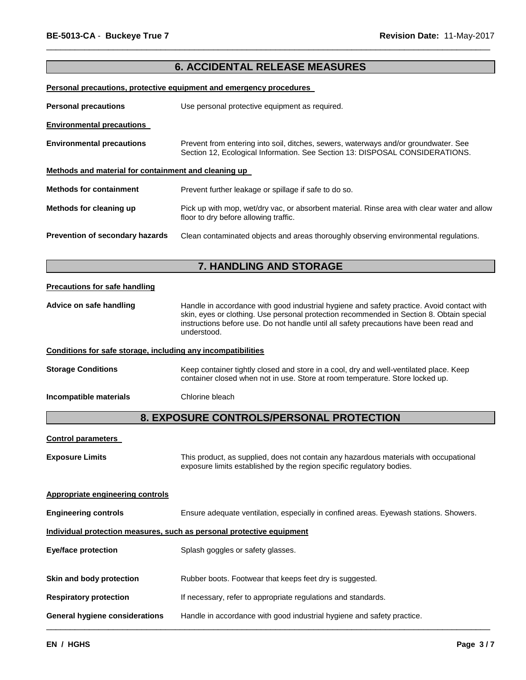## **6. ACCIDENTAL RELEASE MEASURES**

\_\_\_\_\_\_\_\_\_\_\_\_\_\_\_\_\_\_\_\_\_\_\_\_\_\_\_\_\_\_\_\_\_\_\_\_\_\_\_\_\_\_\_\_\_\_\_\_\_\_\_\_\_\_\_\_\_\_\_\_\_\_\_\_\_\_\_\_\_\_\_\_\_\_\_\_\_\_\_\_\_\_\_\_\_\_\_\_\_\_\_\_\_

### **Personal precautions, protective equipment and emergency procedures**

| <b>Personal precautions</b>                          | Use personal protective equipment as required.                                                                                                                      |  |  |
|------------------------------------------------------|---------------------------------------------------------------------------------------------------------------------------------------------------------------------|--|--|
| <b>Environmental precautions</b>                     |                                                                                                                                                                     |  |  |
| <b>Environmental precautions</b>                     | Prevent from entering into soil, ditches, sewers, waterways and/or groundwater. See<br>Section 12, Ecological Information. See Section 13: DISPOSAL CONSIDERATIONS. |  |  |
| Methods and material for containment and cleaning up |                                                                                                                                                                     |  |  |
| <b>Methods for containment</b>                       | Prevent further leakage or spillage if safe to do so.                                                                                                               |  |  |
| Methods for cleaning up                              | Pick up with mop, wet/dry vac, or absorbent material. Rinse area with clear water and allow<br>floor to dry before allowing traffic.                                |  |  |
| Prevention of secondary hazards                      | Clean contaminated objects and areas thoroughly observing environmental regulations.                                                                                |  |  |

## **7. HANDLING AND STORAGE**

### **Precautions for safe handling**

**Advice on safe handling** Handle in accordance with good industrial hygiene and safety practice. Avoid contact with skin, eyes or clothing. Use personal protection recommended in Section 8. Obtain special instructions before use. Do not handle until all safety precautions have been read and understood.

### **Conditions for safe storage, including any incompatibilities**

**Storage Conditions Keep container tightly closed and store in a cool, dry and well-ventilated place. Keep** container closed when not in use. Store at room temperature. Store locked up.

**Incompatible materials Chlorine bleach** 

# **8. EXPOSURE CONTROLS/PERSONAL PROTECTION**

| <b>Control parameters</b>                                             |                                                                                                                                                                |  |  |
|-----------------------------------------------------------------------|----------------------------------------------------------------------------------------------------------------------------------------------------------------|--|--|
| <b>Exposure Limits</b>                                                | This product, as supplied, does not contain any hazardous materials with occupational<br>exposure limits established by the region specific regulatory bodies. |  |  |
| <b>Appropriate engineering controls</b>                               |                                                                                                                                                                |  |  |
| <b>Engineering controls</b>                                           | Ensure adequate ventilation, especially in confined areas. Eyewash stations. Showers.                                                                          |  |  |
| Individual protection measures, such as personal protective equipment |                                                                                                                                                                |  |  |
| <b>Eye/face protection</b>                                            | Splash goggles or safety glasses.                                                                                                                              |  |  |
| Skin and body protection                                              | Rubber boots. Footwear that keeps feet dry is suggested.                                                                                                       |  |  |
| <b>Respiratory protection</b>                                         | If necessary, refer to appropriate regulations and standards.                                                                                                  |  |  |
| General hygiene considerations                                        | Handle in accordance with good industrial hygiene and safety practice.                                                                                         |  |  |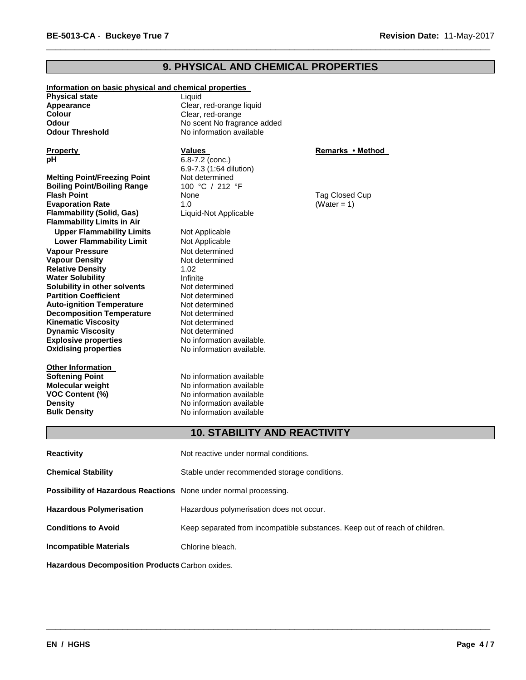# **9. PHYSICAL AND CHEMICAL PROPERTIES**

\_\_\_\_\_\_\_\_\_\_\_\_\_\_\_\_\_\_\_\_\_\_\_\_\_\_\_\_\_\_\_\_\_\_\_\_\_\_\_\_\_\_\_\_\_\_\_\_\_\_\_\_\_\_\_\_\_\_\_\_\_\_\_\_\_\_\_\_\_\_\_\_\_\_\_\_\_\_\_\_\_\_\_\_\_\_\_\_\_\_\_\_\_

| Information on basic physical and chemical properties |                             |                  |
|-------------------------------------------------------|-----------------------------|------------------|
| <b>Physical state</b>                                 | Liquid                      |                  |
| Appearance                                            | Clear, red-orange liquid    |                  |
| <b>Colour</b>                                         | Clear, red-orange           |                  |
| Odour                                                 | No scent No fragrance added |                  |
| <b>Odour Threshold</b>                                | No information available    |                  |
|                                                       |                             |                  |
| <b>Property</b>                                       | <b>Values</b>               | Remarks • Method |
| рH                                                    | 6.8-7.2 (conc.)             |                  |
|                                                       | 6.9-7.3 (1:64 dilution)     |                  |
| <b>Melting Point/Freezing Point</b>                   | Not determined              |                  |
| <b>Boiling Point/Boiling Range</b>                    | 100 °C / 212 °F             |                  |
| <b>Flash Point</b>                                    | None                        | Tag Closed Cup   |
| <b>Evaporation Rate</b>                               | 1.0                         | (Water = $1$ )   |
| <b>Flammability (Solid, Gas)</b>                      | Liquid-Not Applicable       |                  |
| <b>Flammability Limits in Air</b>                     |                             |                  |
| <b>Upper Flammability Limits</b>                      | Not Applicable              |                  |
| <b>Lower Flammability Limit</b>                       | Not Applicable              |                  |
| <b>Vapour Pressure</b>                                | Not determined              |                  |
| <b>Vapour Density</b>                                 | Not determined              |                  |
| <b>Relative Density</b>                               | 1.02                        |                  |
| <b>Water Solubility</b>                               | Infinite                    |                  |
| Solubility in other solvents                          | Not determined              |                  |
| <b>Partition Coefficient</b>                          | Not determined              |                  |
| <b>Auto-ignition Temperature</b>                      | Not determined              |                  |
| <b>Decomposition Temperature</b>                      | Not determined              |                  |
| <b>Kinematic Viscosity</b>                            | Not determined              |                  |
| <b>Dynamic Viscosity</b>                              | Not determined              |                  |
| <b>Explosive properties</b>                           | No information available.   |                  |
| <b>Oxidising properties</b>                           | No information available.   |                  |
|                                                       |                             |                  |
| <b>Other Information</b>                              |                             |                  |
| <b>Softening Point</b>                                | No information available    |                  |
| Molecular weight                                      | No information available    |                  |
| <b>VOC Content (%)</b>                                | No information available    |                  |
| <b>Density</b>                                        | No information available    |                  |
| <b>Bulk Density</b>                                   | No information available    |                  |

# **10. STABILITY AND REACTIVITY**

\_\_\_\_\_\_\_\_\_\_\_\_\_\_\_\_\_\_\_\_\_\_\_\_\_\_\_\_\_\_\_\_\_\_\_\_\_\_\_\_\_\_\_\_\_\_\_\_\_\_\_\_\_\_\_\_\_\_\_\_\_\_\_\_\_\_\_\_\_\_\_\_\_\_\_\_\_\_\_\_\_\_\_\_\_\_\_\_\_\_\_\_\_

| <b>Reactivity</b>                                                | Not reactive under normal conditions.                                       |  |
|------------------------------------------------------------------|-----------------------------------------------------------------------------|--|
| <b>Chemical Stability</b>                                        | Stable under recommended storage conditions.                                |  |
| Possibility of Hazardous Reactions None under normal processing. |                                                                             |  |
| <b>Hazardous Polymerisation</b>                                  | Hazardous polymerisation does not occur.                                    |  |
| <b>Conditions to Avoid</b>                                       | Keep separated from incompatible substances. Keep out of reach of children. |  |
| <b>Incompatible Materials</b>                                    | Chlorine bleach.                                                            |  |
|                                                                  |                                                                             |  |

**Hazardous Decomposition Products** Carbon oxides.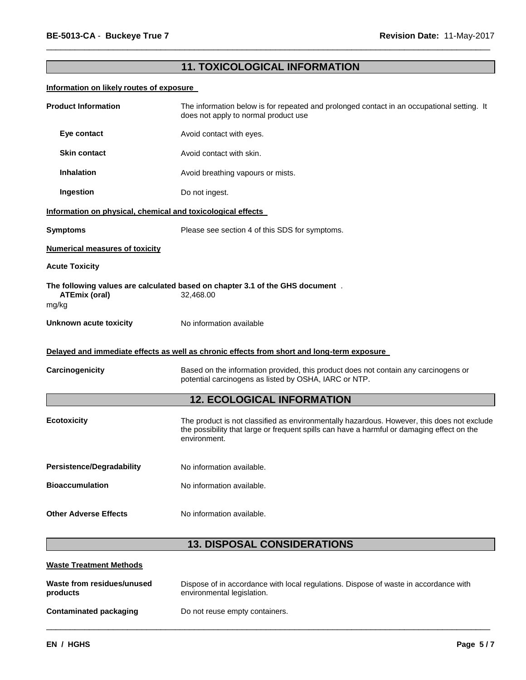# **11. TOXICOLOGICAL INFORMATION**

\_\_\_\_\_\_\_\_\_\_\_\_\_\_\_\_\_\_\_\_\_\_\_\_\_\_\_\_\_\_\_\_\_\_\_\_\_\_\_\_\_\_\_\_\_\_\_\_\_\_\_\_\_\_\_\_\_\_\_\_\_\_\_\_\_\_\_\_\_\_\_\_\_\_\_\_\_\_\_\_\_\_\_\_\_\_\_\_\_\_\_\_\_

### **Information on likely routes of exposure**

| <b>Product Information</b>                                  | The information below is for repeated and prolonged contact in an occupational setting. It<br>does not apply to normal product use                                                                       |  |  |
|-------------------------------------------------------------|----------------------------------------------------------------------------------------------------------------------------------------------------------------------------------------------------------|--|--|
| Eye contact                                                 | Avoid contact with eyes.                                                                                                                                                                                 |  |  |
| <b>Skin contact</b>                                         | Avoid contact with skin.                                                                                                                                                                                 |  |  |
| <b>Inhalation</b>                                           | Avoid breathing vapours or mists.                                                                                                                                                                        |  |  |
| Ingestion                                                   | Do not ingest.                                                                                                                                                                                           |  |  |
| Information on physical, chemical and toxicological effects |                                                                                                                                                                                                          |  |  |
| <b>Symptoms</b>                                             | Please see section 4 of this SDS for symptoms.                                                                                                                                                           |  |  |
| <b>Numerical measures of toxicity</b>                       |                                                                                                                                                                                                          |  |  |
| <b>Acute Toxicity</b>                                       |                                                                                                                                                                                                          |  |  |
| <b>ATEmix (oral)</b><br>mg/kg                               | The following values are calculated based on chapter 3.1 of the GHS document.<br>32,468.00                                                                                                               |  |  |
| Unknown acute toxicity                                      | No information available                                                                                                                                                                                 |  |  |
|                                                             | Delayed and immediate effects as well as chronic effects from short and long-term exposure                                                                                                               |  |  |
| Carcinogenicity                                             | Based on the information provided, this product does not contain any carcinogens or<br>potential carcinogens as listed by OSHA, IARC or NTP.                                                             |  |  |
|                                                             | <b>12. ECOLOGICAL INFORMATION</b>                                                                                                                                                                        |  |  |
| <b>Ecotoxicity</b>                                          | The product is not classified as environmentally hazardous. However, this does not exclude<br>the possibility that large or frequent spills can have a harmful or damaging effect on the<br>environment. |  |  |
| <b>Persistence/Degradability</b>                            | No information available.                                                                                                                                                                                |  |  |
| <b>Bioaccumulation</b>                                      | No information available.                                                                                                                                                                                |  |  |
| <b>Other Adverse Effects</b>                                | No information available.                                                                                                                                                                                |  |  |
|                                                             | <b>13. DISPOSAL CONSIDERATIONS</b>                                                                                                                                                                       |  |  |
| <b>Waste Treatment Methods</b>                              |                                                                                                                                                                                                          |  |  |
| Waste from residues/unused<br>products                      | Dispose of in accordance with local regulations. Dispose of waste in accordance with<br>environmental legislation.                                                                                       |  |  |

\_\_\_\_\_\_\_\_\_\_\_\_\_\_\_\_\_\_\_\_\_\_\_\_\_\_\_\_\_\_\_\_\_\_\_\_\_\_\_\_\_\_\_\_\_\_\_\_\_\_\_\_\_\_\_\_\_\_\_\_\_\_\_\_\_\_\_\_\_\_\_\_\_\_\_\_\_\_\_\_\_\_\_\_\_\_\_\_\_\_\_\_\_

| Contaminated packaging | Do not reuse empty containers. |
|------------------------|--------------------------------|
|                        |                                |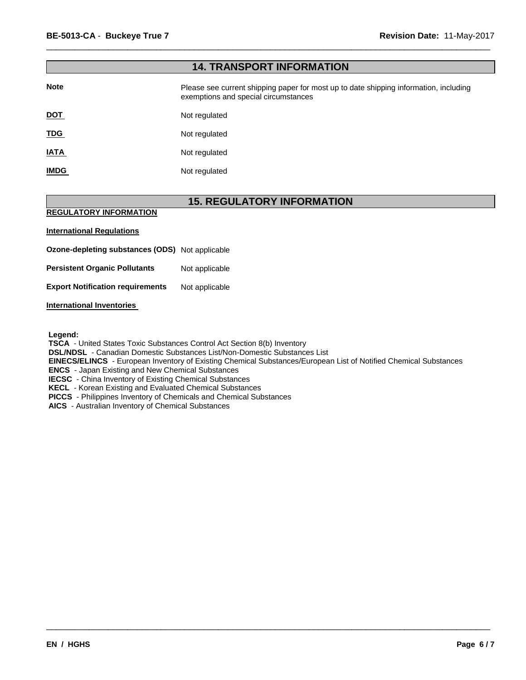| <b>14. TRANSPORT INFORMATION</b> |                                                                                                                               |  |
|----------------------------------|-------------------------------------------------------------------------------------------------------------------------------|--|
| <b>Note</b>                      | Please see current shipping paper for most up to date shipping information, including<br>exemptions and special circumstances |  |
| <u>DOT</u>                       | Not regulated                                                                                                                 |  |
| <u>TDG</u>                       | Not regulated                                                                                                                 |  |
| <b>IATA</b>                      | Not regulated                                                                                                                 |  |
| <b>IMDG</b>                      | Not regulated                                                                                                                 |  |

\_\_\_\_\_\_\_\_\_\_\_\_\_\_\_\_\_\_\_\_\_\_\_\_\_\_\_\_\_\_\_\_\_\_\_\_\_\_\_\_\_\_\_\_\_\_\_\_\_\_\_\_\_\_\_\_\_\_\_\_\_\_\_\_\_\_\_\_\_\_\_\_\_\_\_\_\_\_\_\_\_\_\_\_\_\_\_\_\_\_\_\_\_

# **15. REGULATORY INFORMATION**

### **REGULATORY INFORMATION**

### **International Regulations**

**Ozone-depleting substances (ODS)** Not applicable

**Persistent Organic Pollutants** Not applicable

**Export Notification requirements** Not applicable

### **International Inventories**

**Legend:** 

**TSCA** - United States Toxic Substances Control Act Section 8(b) Inventory

**DSL/NDSL** - Canadian Domestic Substances List/Non-Domestic Substances List

**EINECS/ELINCS** - European Inventory of Existing Chemical Substances/European List of Notified Chemical Substances

\_\_\_\_\_\_\_\_\_\_\_\_\_\_\_\_\_\_\_\_\_\_\_\_\_\_\_\_\_\_\_\_\_\_\_\_\_\_\_\_\_\_\_\_\_\_\_\_\_\_\_\_\_\_\_\_\_\_\_\_\_\_\_\_\_\_\_\_\_\_\_\_\_\_\_\_\_\_\_\_\_\_\_\_\_\_\_\_\_\_\_\_\_

**ENCS** - Japan Existing and New Chemical Substances

**IECSC** - China Inventory of Existing Chemical Substances

**KECL** - Korean Existing and Evaluated Chemical Substances

**PICCS** - Philippines Inventory of Chemicals and Chemical Substances

**AICS** - Australian Inventory of Chemical Substances